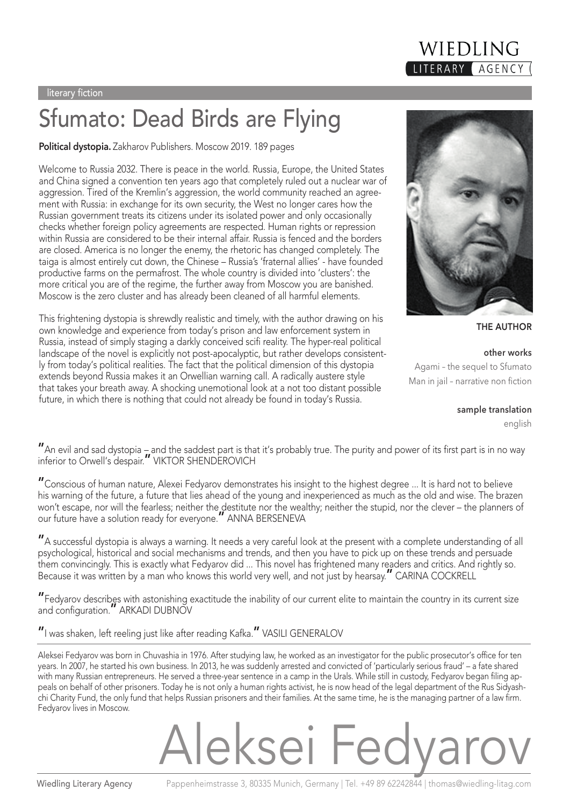#### literary fiction

### Sfumato: Dead Birds are Flying

**Political dystopia.** Zakharov Publishers. Moscow 2019. 189 pages

Welcome to Russia 2032. There is peace in the world. Russia, Europe, the United States and China signed a convention ten years ago that completely ruled out a nuclear war of aggression. Tired of the Kremlin's aggression, the world community reached an agreement with Russia: in exchange for its own security, the West no longer cares how the Russian government treats its citizens under its isolated power and only occasionally checks whether foreign policy agreements are respected. Human rights or repression within Russia are considered to be their internal affair. Russia is fenced and the borders are closed. America is no longer the enemy, the rhetoric has changed completely. The taiga is almost entirely cut down, the Chinese – Russia's 'fraternal allies' - have founded productive farms on the permafrost. The whole country is divided into 'clusters': the more critical you are of the regime, the further away from Moscow you are banished. Moscow is the zero cluster and has already been cleaned of all harmful elements.

This frightening dystopia is shrewdly realistic and timely, with the author drawing on his own knowledge and experience from today's prison and law enforcement system in Russia, instead of simply staging a darkly conceived scifi reality. The hyper-real political landscape of the novel is explicitly not post-apocalyptic, but rather develops consistently from today's political realities. The fact that the political dimension of this dystopia extends beyond Russia makes it an Orwellian warning call. A radically austere style that takes your breath away. A shocking unemotional look at a not too distant possible future, in which there is nothing that could not already be found in today's Russia.

"An evil and sad dystopia – and the saddest part is that it's probably true. The purity and power of its first part is in no way

"Conscious of human nature, Alexei Fedyarov demonstrates his insight to the highest degree ... It is hard not to believe his warning of the future, a future that lies ahead of the young and inexperienced as much as the old and wise. The brazen won't escape, nor will the fearless; neither the destitute nor the wealthy; neither the stupid, nor the clever – the planners of our future have a solution ready for everyone." ANNA BERSENEVA

"A successful dystopia is always a warning. It needs a very careful look at the present with a complete understanding of all psychological, historical and social mechanisms and trends, and then you have to pick up on these trends and persuade them convincingly. This is exactly what Fedyarov did ... This novel has frightened many readers and critics. And rightly so. Because it was written by a man who knows this world very well, and not just by hearsay." CARINA COCKRELL

"Fedyarov describes with astonishing exactitude the inability of our current elite to maintain the country in its current size and configuration." ARKADI DUBNOV

### "I was shaken, left reeling just like after reading Kafka." VASILI GENERALOV

inferior to Orwell's despair." VIKTOR SHENDEROVICH

Aleksei Fedyarov was born in Chuvashia in 1976. After studying law, he worked as an investigator for the public prosecutor's office for ten years. In 2007, he started his own business. In 2013, he was suddenly arrested and convicted of 'particularly serious fraud' – a fate shared with many Russian entrepreneurs. He served a three-year sentence in a camp in the Urals. While still in custody, Fedyarov began filing appeals on behalf of other prisoners. Today he is not only a human rights activist, he is now head of the legal department of the Rus Sidyashchi Charity Fund, the only fund that helps Russian prisoners and their families. At the same time, he is the managing partner of a law firm. Fedyarov lives in Moscow.

## Aleksei Fedya

Agami – the sequel to Sfumato

**other works**

Man in jail – narrative non fiction

**sample translation**

english





WIEDLING